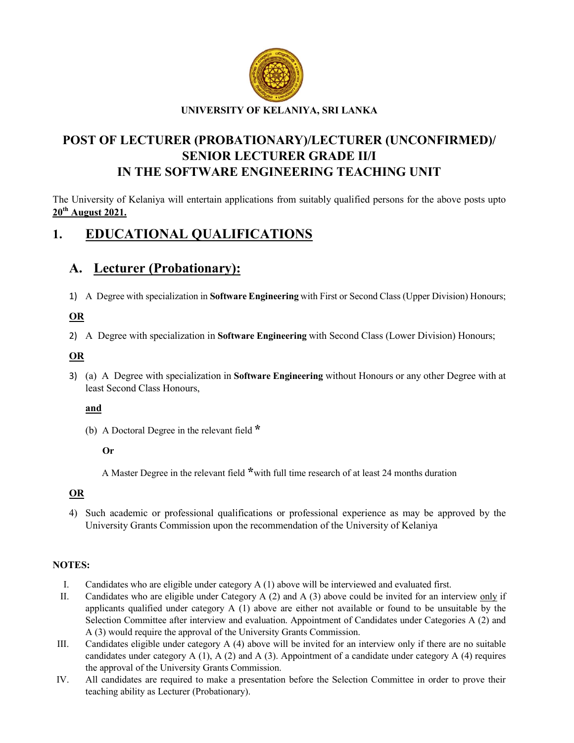

# POST OF LECTURER (PROBATIONARY)/LECTURER (UNCONFIRMED)/ SENIOR LECTURER GRADE II/I IN THE SOFTWARE ENGINEERING TEACHING UNIT

The University of Kelaniya will entertain applications from suitably qualified persons for the above posts upto 20th August 2021.

# 1. EDUCATIONAL QUALIFICATIONS

# A. Lecturer (Probationary):

1) A Degree with specialization in Software Engineering with First or Second Class (Upper Division) Honours;

### OR

2) A Degree with specialization in Software Engineering with Second Class (Lower Division) Honours;

### **OR**

3) (a) A Degree with specialization in Software Engineering without Honours or any other Degree with at least Second Class Honours,

### and

(b) A Doctoral Degree in the relevant field \*

#### Or

A Master Degree in the relevant field \*with full time research of at least 24 months duration

## OR

4) Such academic or professional qualifications or professional experience as may be approved by the University Grants Commission upon the recommendation of the University of Kelaniya

### NOTES:

- I. Candidates who are eligible under category A (1) above will be interviewed and evaluated first.
- II. Candidates who are eligible under Category A (2) and A (3) above could be invited for an interview only if applicants qualified under category  $A(1)$  above are either not available or found to be unsuitable by the Selection Committee after interview and evaluation. Appointment of Candidates under Categories A (2) and A (3) would require the approval of the University Grants Commission.
- III. Candidates eligible under category A (4) above will be invited for an interview only if there are no suitable candidates under category A (1), A (2) and A (3). Appointment of a candidate under category A (4) requires the approval of the University Grants Commission.
- IV. All candidates are required to make a presentation before the Selection Committee in order to prove their teaching ability as Lecturer (Probationary).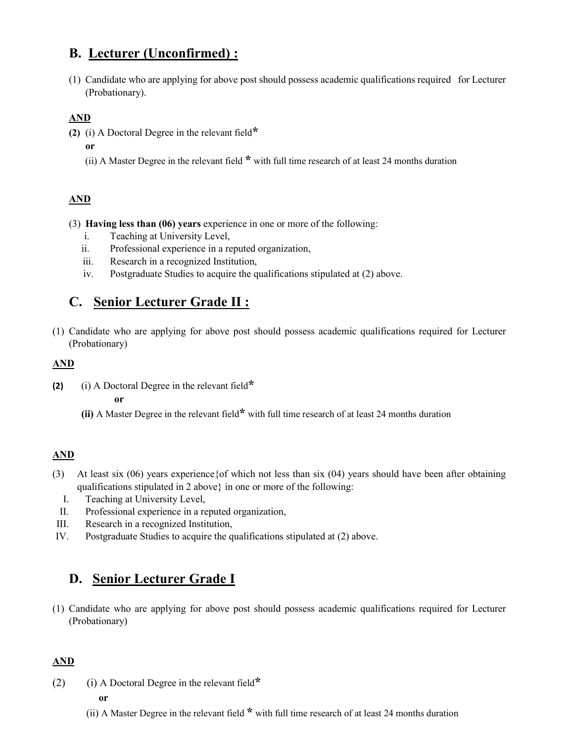# B. Lecturer (Unconfirmed) :

(1) Candidate who are applying for above post should possess academic qualifications required for Lecturer (Probationary).

## AND

- (2) (i) A Doctoral Degree in the relevant field $*$ 
	- or
	- (ii) A Master Degree in the relevant field \* with full time research of at least 24 months duration

## AND

- (3) Having less than (06) years experience in one or more of the following:
	- i. Teaching at University Level,
	- ii. Professional experience in a reputed organization,
	- iii. Research in a recognized Institution,
	- iv. Postgraduate Studies to acquire the qualifications stipulated at (2) above.

# C. Senior Lecturer Grade II :

(1) Candidate who are applying for above post should possess academic qualifications required for Lecturer (Probationary)

## AND

(2) (i) A Doctoral Degree in the relevant field $*$ 

or

(ii) A Master Degree in the relevant field\* with full time research of at least 24 months duration

## AND

- (3) At least six (06) years experience{of which not less than six (04) years should have been after obtaining qualifications stipulated in 2 above} in one or more of the following:
	- I. Teaching at University Level,
- II. Professional experience in a reputed organization,
- III. Research in a recognized Institution,
- IV. Postgraduate Studies to acquire the qualifications stipulated at (2) above.

# D. Senior Lecturer Grade I

(1) Candidate who are applying for above post should possess academic qualifications required for Lecturer (Probationary)

## AND

- (2) (i) A Doctoral Degree in the relevant field\* or
	- (ii) A Master Degree in the relevant field \* with full time research of at least 24 months duration